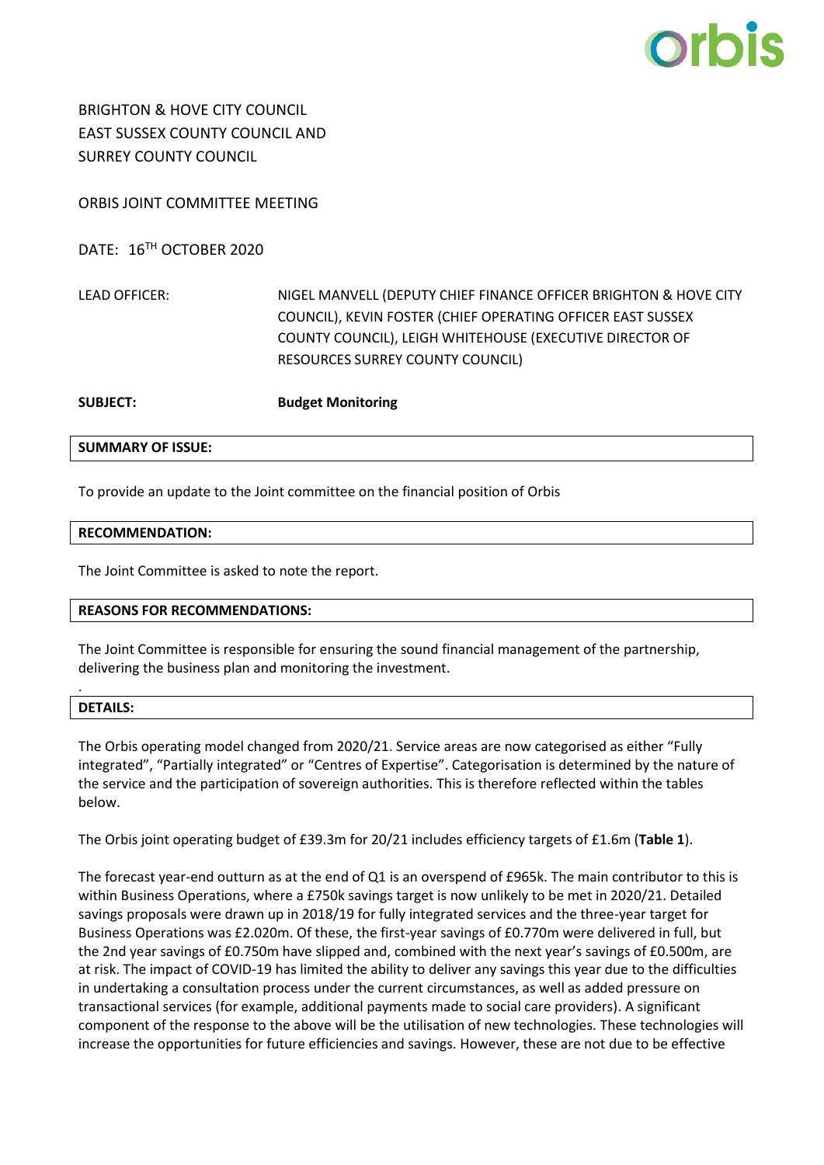

BRIGHTON & HOVE CITY COUNCIL EAST SUSSEX COUNTY COUNCIL AND SURREY COUNTY COUNCIL

ORBIS JOINT COMMITTEE MEETING

DATE: 16TH OCTOBER 2020

LEAD OFFICER: NIGEL MANVELL (DEPUTY CHIEF FINANCE OFFICER BRIGHTON & HOVE CITY COUNCIL), KEVIN FOSTER (CHIEF OPERATING OFFICER EAST SUSSEX COUNTY COUNCIL), LEIGH WHITEHOUSE (EXECUTIVE DIRECTOR OF RESOURCES SURREY COUNTY COUNCIL)

**SUBJECT: Budget Monitoring**

**SUMMARY OF ISSUE:**

To provide an update to the Joint committee on the financial position of Orbis

#### **RECOMMENDATION:**

The Joint Committee is asked to note the report.

## **REASONS FOR RECOMMENDATIONS:**

The Joint Committee is responsible for ensuring the sound financial management of the partnership, delivering the business plan and monitoring the investment.

## **DETAILS:**

.

The Orbis operating model changed from 2020/21. Service areas are now categorised as either "Fully integrated", "Partially integrated" or "Centres of Expertise". Categorisation is determined by the nature of the service and the participation of sovereign authorities. This is therefore reflected within the tables below.

The Orbis joint operating budget of £39.3m for 20/21 includes efficiency targets of £1.6m (**Table 1**).

The forecast year-end outturn as at the end of Q1 is an overspend of £965k. The main contributor to this is within Business Operations, where a £750k savings target is now unlikely to be met in 2020/21. Detailed savings proposals were drawn up in 2018/19 for fully integrated services and the three-year target for Business Operations was £2.020m. Of these, the first-year savings of £0.770m were delivered in full, but the 2nd year savings of £0.750m have slipped and, combined with the next year's savings of £0.500m, are at risk. The impact of COVID-19 has limited the ability to deliver any savings this year due to the difficulties in undertaking a consultation process under the current circumstances, as well as added pressure on transactional services (for example, additional payments made to social care providers). A significant component of the response to the above will be the utilisation of new technologies. These technologies will increase the opportunities for future efficiencies and savings. However, these are not due to be effective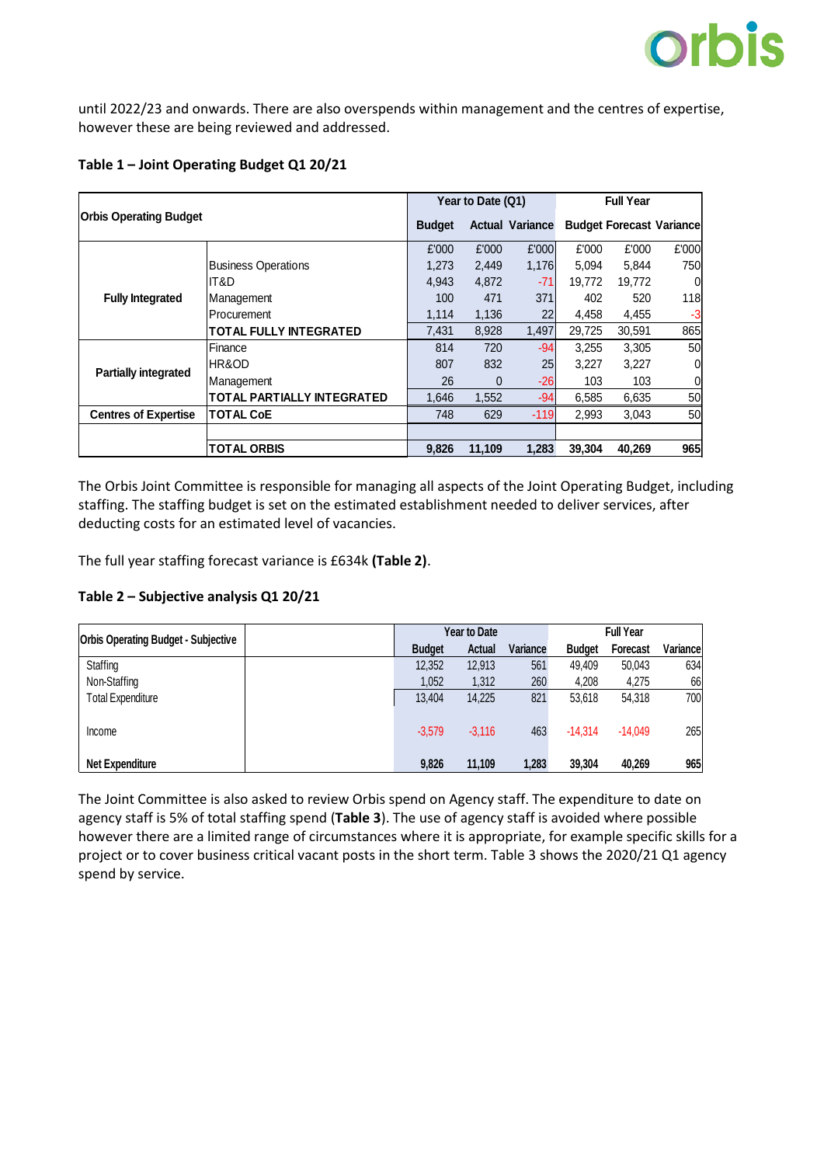

until 2022/23 and onwards. There are also overspends within management and the centres of expertise, however these are being reviewed and addressed.

| <b>Orbis Operating Budget</b> |                                   | Year to Date (Q1) |        |                        | <b>Full Year</b> |                                 |       |
|-------------------------------|-----------------------------------|-------------------|--------|------------------------|------------------|---------------------------------|-------|
|                               |                                   | <b>Budget</b>     |        | <b>Actual Variance</b> |                  | <b>Budget Forecast Variance</b> |       |
|                               |                                   | £'000             | £'000  | £'000                  | £'000            | £'000                           | £'000 |
|                               | <b>Business Operations</b>        | 1.273             | 2,449  | 1,176                  | 5,094            | 5,844                           | 750   |
|                               | IT&D                              | 4,943             | 4,872  | $-71$                  | 19,772           | 19,772                          | 0     |
| <b>Fully Integrated</b>       | Management                        | 100               | 471    | 371                    | 402              | 520                             | 118   |
|                               | Procurement                       | 1,114             | 1,136  | 22                     | 4,458            | 4,455                           | $-3$  |
|                               | <b>TOTAL FULLY INTEGRATED</b>     | 7,431             | 8,928  | 1,497                  | 29,725           | 30,591                          | 865   |
| <b>Partially integrated</b>   | ⊩Finance                          | 814               | 720    | $-94$                  | 3,255            | 3,305                           | 50    |
|                               | <b>HR&amp;OD</b>                  | 807               | 832    | 25                     | 3,227            | 3,227                           | 0     |
|                               | Management                        | 26                | 0      | $-26$                  | 103              | 103                             | 0     |
|                               | <b>TOTAL PARTIALLY INTEGRATED</b> | 1,646             | 1,552  | $-94$                  | 6,585            | 6,635                           | 50    |
| <b>Centres of Expertise</b>   | <b>TOTAL CoE</b>                  | 748               | 629    | $-119$                 | 2,993            | 3,043                           | 50    |
|                               |                                   |                   |        |                        |                  |                                 |       |
|                               | <b>TOTAL ORBIS</b>                | 9,826             | 11.109 | 1.283                  | 39.304           | 40.269                          | 965   |

# **Table 1 – Joint Operating Budget Q1 20/21**

The Orbis Joint Committee is responsible for managing all aspects of the Joint Operating Budget, including staffing. The staffing budget is set on the estimated establishment needed to deliver services, after deducting costs for an estimated level of vacancies.

The full year staffing forecast variance is £634k **(Table 2)**.

# **Table 2 – Subjective analysis Q1 20/21**

| <b>Orbis Operating Budget - Subjective</b> | <b>Year to Date</b> |               |          | <b>Full Year</b> |                 |          |
|--------------------------------------------|---------------------|---------------|----------|------------------|-----------------|----------|
|                                            | <b>Budget</b>       | <b>Actual</b> | Variance | <b>Budget</b>    | <b>Forecast</b> | Variance |
| Staffing                                   | 12,352              | 12,913        | 561      | 49.409           | 50,043          | 634      |
| Non-Staffing                               | 1,052               | 1,312         | 260      | 4,208            | 4,275           | 66       |
| <b>Total Expenditure</b>                   | 13.404              | 14,225        | 821      | 53.618           | 54,318          | 700      |
| Income                                     | $-3,579$            | $-3.116$      | 463      | $-14.314$        | $-14.049$       | 265      |
| <b>Net Expenditure</b>                     | 9.826               | 11,109        | 1,283    | 39,304           | 40.269          | 965      |

The Joint Committee is also asked to review Orbis spend on Agency staff. The expenditure to date on agency staff is 5% of total staffing spend (**Table 3**). The use of agency staff is avoided where possible however there are a limited range of circumstances where it is appropriate, for example specific skills for a project or to cover business critical vacant posts in the short term. Table 3 shows the 2020/21 Q1 agency spend by service.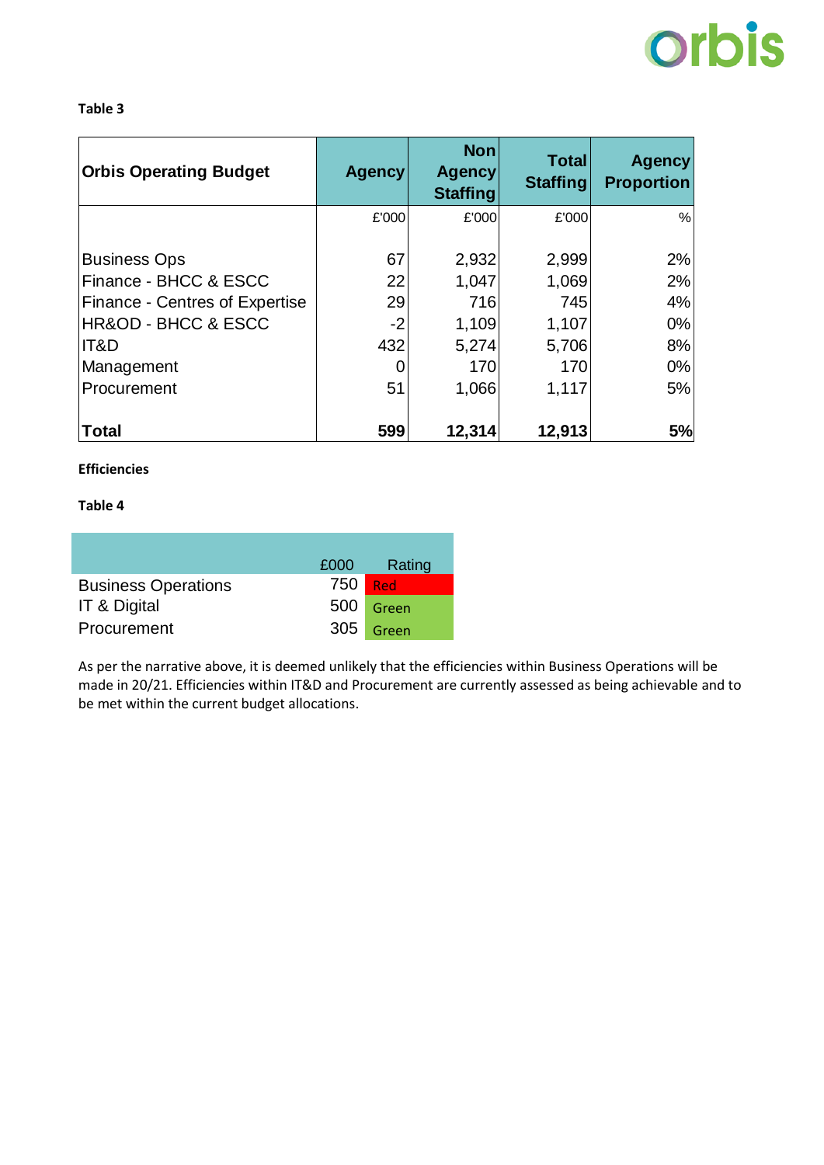# **orbis**

## **Table 3**

| <b>Orbis Operating Budget</b>      | <b>Agency</b> | <b>Non</b><br><b>Agency</b><br><b>Staffing</b> | <b>Total</b><br><b>Staffing</b> | <b>Agency</b><br><b>Proportion</b> |
|------------------------------------|---------------|------------------------------------------------|---------------------------------|------------------------------------|
|                                    | £'000         | £'000                                          | £'000                           | %                                  |
| <b>Business Ops</b>                | 67            | 2,932                                          | 2,999                           | 2%                                 |
| Finance - BHCC & ESCC              | 22            | 1,047                                          | 1,069                           | 2%                                 |
| Finance - Centres of Expertise     | 29            | 716                                            | 745                             | 4%                                 |
| <b>HR&amp;OD - BHCC &amp; ESCC</b> | $-2$          | 1,109                                          | 1,107                           | $0\%$                              |
| IT&D                               | 432           | 5,274                                          | 5,706                           | 8%                                 |
| Management                         |               | 170                                            | 170                             | 0%                                 |
| Procurement                        | 51            | 1,066                                          | 1,117                           | 5%                                 |
| <b>Total</b>                       | 599           | 12,314                                         | 12,913                          | 5%                                 |

# **Efficiencies**

## **Table 4**

|                            | £000         | Rating    |
|----------------------------|--------------|-----------|
| <b>Business Operations</b> | 750 <b>I</b> | - Red     |
| IT & Digital               |              | 500 Green |
| Procurement                |              | 305 Green |

As per the narrative above, it is deemed unlikely that the efficiencies within Business Operations will be made in 20/21. Efficiencies within IT&D and Procurement are currently assessed as being achievable and to be met within the current budget allocations.